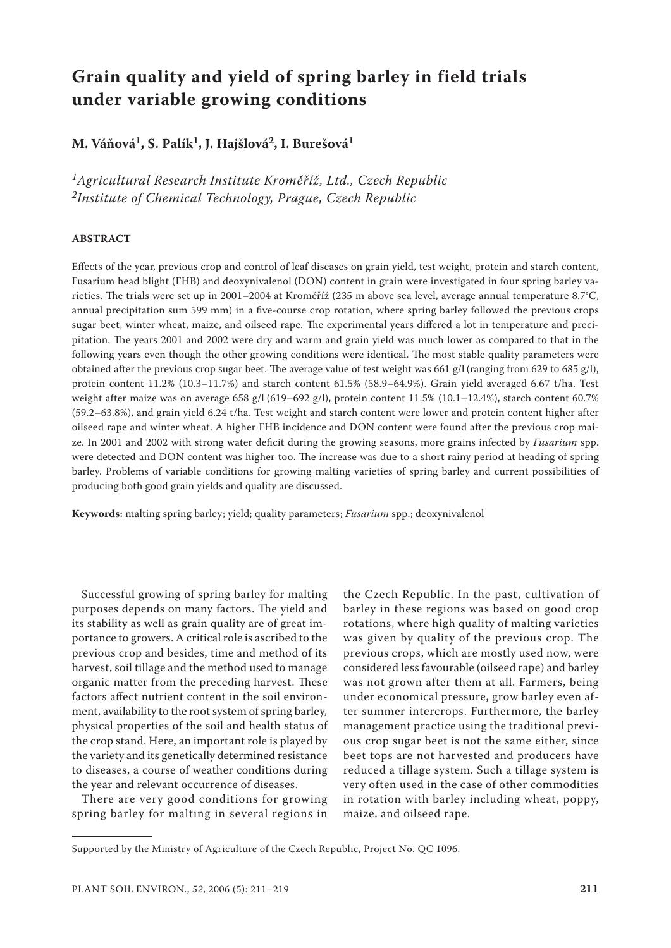# **Grain quality and yield of spring barley in field trials under variable growing conditions**

**M. Váňová1, S. Palík1, J. Hajšlová2, I. Burešová1**

*1Agricultural Research Institute Kroměříž, Ltd., Czech Republic 2Institute of Chemical Technology, Prague, Czech Republic*

## **ABSTRACT**

Effects of the year, previous crop and control of leaf diseases on grain yield, test weight, protein and starch content, Fusarium head blight (FHB) and deoxynivalenol (DON) content in grain were investigated in four spring barley varieties. The trials were set up in 2001–2004 at Kroměříž (235 m above sea level, average annual temperature 8.7°C, annual precipitation sum 599 mm) in a five-course crop rotation, where spring barley followed the previous crops sugar beet, winter wheat, maize, and oilseed rape. The experimental years differed a lot in temperature and precipitation. The years 2001 and 2002 were dry and warm and grain yield was much lower as compared to that in the following years even though the other growing conditions were identical. The most stable quality parameters were obtained after the previous crop sugar beet. The average value of test weight was 661 g/l (ranging from 629 to 685 g/l), protein content 11.2% (10.3–11.7%) and starch content 61.5% (58.9–64.9%). Grain yield averaged 6.67 t/ha. Test weight after maize was on average 658 g/l (619–692 g/l), protein content 11.5% (10.1–12.4%), starch content 60.7% (59.2–63.8%), and grain yield 6.24 t/ha. Test weight and starch content were lower and protein content higher after oilseed rape and winter wheat. A higher FHB incidence and DON content were found after the previous crop maize. In 2001 and 2002 with strong water deficit during the growing seasons, more grains infected by *Fusarium* spp. were detected and DON content was higher too. The increase was due to a short rainy period at heading of spring barley. Problems of variable conditions for growing malting varieties of spring barley and current possibilities of producing both good grain yields and quality are discussed.

**Keywords:** malting spring barley; yield; quality parameters; *Fusarium* spp.; deoxynivalenol

Successful growing of spring barley for malting purposes depends on many factors. The yield and its stability as well as grain quality are of great importance to growers. A critical role is ascribed to the previous crop and besides, time and method of its harvest, soil tillage and the method used to manage organic matter from the preceding harvest. These factors affect nutrient content in the soil environment, availability to the root system of spring barley, physical properties of the soil and health status of the crop stand. Here, an important role is played by the variety and its genetically determined resistance to diseases, a course of weather conditions during the year and relevant occurrence of diseases.

There are very good conditions for growing spring barley for malting in several regions in the Czech Republic. In the past, cultivation of barley in these regions was based on good crop rotations, where high quality of malting varieties was given by quality of the previous crop. The previous crops, which are mostly used now, were considered less favourable (oilseed rape) and barley was not grown after them at all. Farmers, being under economical pressure, grow barley even after summer intercrops. Furthermore, the barley management practice using the traditional previous crop sugar beet is not the same either, since beet tops are not harvested and producers have reduced a tillage system. Such a tillage system is very often used in the case of other commodities in rotation with barley including wheat, poppy, maize, and oilseed rape.

Supported by the Ministry of Agriculture of the Czech Republic, Project No. QC 1096.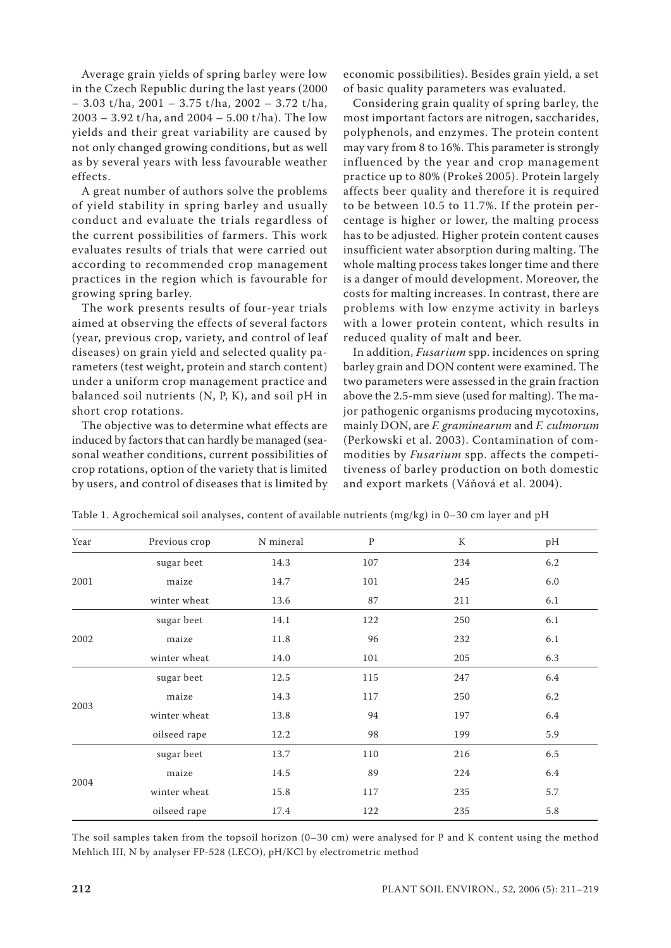Average grain yields of spring barley were low in the Czech Republic during the last years (2000 – 3.03 t/ha, 2001 – 3.75 t/ha, 2002 – 3.72 t/ha,  $2003 - 3.92$  t/ha, and  $2004 - 5.00$  t/ha). The low yields and their great variability are caused by not only changed growing conditions, but as well as by several years with less favourable weather effects.

A great number of authors solve the problems of yield stability in spring barley and usually conduct and evaluate the trials regardless of the current possibilities of farmers. This work evaluates results of trials that were carried out according to recommended crop management practices in the region which is favourable for growing spring barley.

The work presents results of four-year trials aimed at observing the effects of several factors (year, previous crop, variety, and control of leaf diseases) on grain yield and selected quality parameters (test weight, protein and starch content) under a uniform crop management practice and balanced soil nutrients (N, P, K), and soil pH in short crop rotations.

The objective was to determine what effects are induced by factors that can hardly be managed (seasonal weather conditions, current possibilities of crop rotations, option of the variety that is limited by users, and control of diseases that is limited by

economic possibilities). Besides grain yield, a set of basic quality parameters was evaluated.

Considering grain quality of spring barley, the most important factors are nitrogen, saccharides, polyphenols, and enzymes. The protein content may vary from 8 to 16%. This parameter is strongly influenced by the year and crop management practice up to 80% (Prokeš 2005). Protein largely affects beer quality and therefore it is required to be between 10.5 to 11.7%. If the protein percentage is higher or lower, the malting process has to be adjusted. Higher protein content causes insufficient water absorption during malting. The whole malting process takes longer time and there is a danger of mould development. Moreover, the costs for malting increases. In contrast, there are problems with low enzyme activity in barleys with a lower protein content, which results in reduced quality of malt and beer.

In addition, *Fusarium* spp. incidences on spring barley grain and DON content were examined. The two parameters were assessed in the grain fraction above the 2.5-mm sieve (used for malting). The major pathogenic organisms producing mycotoxins, mainly DON, are *F. graminearum* and *F. culmorum* (Perkowski et al. 2003). Contamination of commodities by *Fusarium* spp. affects the competitiveness of barley production on both domestic and export markets (Váňová et al. 2004).

| Year | Previous crop | N mineral | $\mathbf{P}$ | $\rm K$ | pH  |
|------|---------------|-----------|--------------|---------|-----|
|      | sugar beet    | 14.3      | 107          | 234     | 6.2 |
| 2001 | maize         | 14.7      | 101          | 245     | 6.0 |
|      | winter wheat  | 13.6      | 87           | 211     | 6.1 |
|      | sugar beet    | 14.1      | 122          | 250     | 6.1 |
| 2002 | maize         | 11.8      | 96           | 232     | 6.1 |
|      | winter wheat  | 14.0      | 101          | 205     | 6.3 |
|      | sugar beet    | 12.5      | 115          | 247     | 6.4 |
|      | maize         | 14.3      | 117          | 250     | 6.2 |
| 2003 | winter wheat  | 13.8      | 94           | 197     | 6.4 |
|      | oilseed rape  | 12.2      | 98           | 199     | 5.9 |
|      | sugar beet    | 13.7      | 110          | 216     | 6.5 |
| 2004 | maize         | 14.5      | 89           | 224     | 6.4 |
|      | winter wheat  | 15.8      | 117          | 235     | 5.7 |
|      | oilseed rape  | 17.4      | 122          | 235     | 5.8 |

Table 1. Agrochemical soil analyses, content of available nutrients (mg/kg) in 0–30 cm layer and pH

The soil samples taken from the topsoil horizon (0–30 cm) were analysed for P and K content using the method Mehlich III, N by analyser FP-528 (LECO), pH/KCl by electrometric method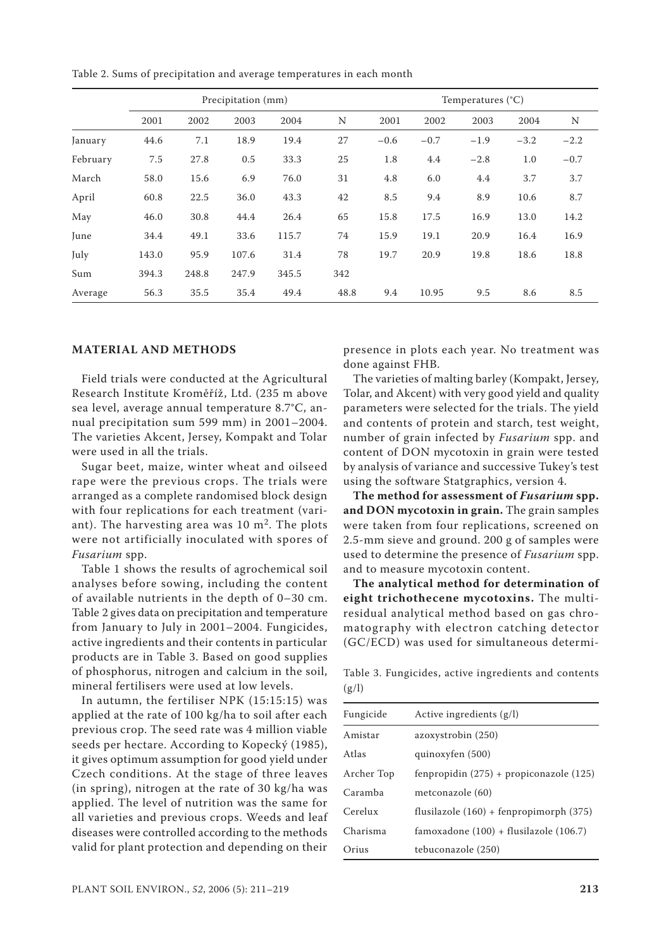Table 2. Sums of precipitation and average temperatures in each month

|          |       |       | Precipitation (mm) |       | Temperatures $(^{\circ}C)$ |        |        |        |        |        |
|----------|-------|-------|--------------------|-------|----------------------------|--------|--------|--------|--------|--------|
|          | 2001  | 2002  | 2003               | 2004  | N                          | 2001   | 2002   | 2003   | 2004   | N      |
| January  | 44.6  | 7.1   | 18.9               | 19.4  | 27                         | $-0.6$ | $-0.7$ | $-1.9$ | $-3.2$ | $-2.2$ |
| February | 7.5   | 27.8  | 0.5                | 33.3  | 25                         | 1.8    | 4.4    | $-2.8$ | 1.0    | $-0.7$ |
| March    | 58.0  | 15.6  | 6.9                | 76.0  | 31                         | 4.8    | 6.0    | 4.4    | 3.7    | 3.7    |
| April    | 60.8  | 22.5  | 36.0               | 43.3  | 42                         | 8.5    | 9.4    | 8.9    | 10.6   | 8.7    |
| May      | 46.0  | 30.8  | 44.4               | 26.4  | 65                         | 15.8   | 17.5   | 16.9   | 13.0   | 14.2   |
| June     | 34.4  | 49.1  | 33.6               | 115.7 | 74                         | 15.9   | 19.1   | 20.9   | 16.4   | 16.9   |
| July     | 143.0 | 95.9  | 107.6              | 31.4  | 78                         | 19.7   | 20.9   | 19.8   | 18.6   | 18.8   |
| Sum      | 394.3 | 248.8 | 247.9              | 345.5 | 342                        |        |        |        |        |        |
| Average  | 56.3  | 35.5  | 35.4               | 49.4  | 48.8                       | 9.4    | 10.95  | 9.5    | 8.6    | 8.5    |

#### **MATERIAL AND METHODS**

Field trials were conducted at the Agricultural Research Institute Kroměříž, Ltd. (235 m above sea level, average annual temperature 8.7°C, annual precipitation sum 599 mm) in 2001–2004. The varieties Akcent, Jersey, Kompakt and Tolar were used in all the trials.

Sugar beet, maize, winter wheat and oilseed rape were the previous crops. The trials were arranged as a complete randomised block design with four replications for each treatment (variant). The harvesting area was  $10 \text{ m}^2$ . The plots were not artificially inoculated with spores of *Fusarium* spp.

Table 1 shows the results of agrochemical soil analyses before sowing, including the content of available nutrients in the depth of 0–30 cm. Table 2 gives data on precipitation and temperature from January to July in 2001–2004. Fungicides, active ingredients and their contents in particular products are in Table 3. Based on good supplies of phosphorus, nitrogen and calcium in the soil, mineral fertilisers were used at low levels.

In autumn, the fertiliser NPK (15:15:15) was applied at the rate of 100 kg/ha to soil after each previous crop. The seed rate was 4 million viable seeds per hectare. According to Kopecký (1985), it gives optimum assumption for good yield under Czech conditions. At the stage of three leaves (in spring), nitrogen at the rate of 30 kg/ha was applied. The level of nutrition was the same for all varieties and previous crops. Weeds and leaf diseases were controlled according to the methods valid for plant protection and depending on their

presence in plots each year. No treatment was done against FHB.

The varieties of malting barley (Kompakt, Jersey, Tolar, and Akcent) with very good yield and quality parameters were selected for the trials. The yield and contents of protein and starch, test weight, number of grain infected by *Fusarium* spp. and content of DON mycotoxin in grain were tested by analysis of variance and successive Tukey's test using the software Statgraphics, version 4.

**The method for assessment of** *Fusarium* **spp. and DON mycotoxin in grain.** The grain samples were taken from four replications, screened on 2.5-mm sieve and ground. 200 g of samples were used to determine the presence of *Fusarium* spp. and to measure mycotoxin content.

**The analytical method for determination of eight trichothecene mycotoxins.** The multiresidual analytical method based on gas chromatography with electron catching detector (GC/ECD) was used for simultaneous determi-

Table 3. Fungicides, active ingredients and contents  $(g/l)$ 

| Fungicide  | Active ingredients $(g/l)$                  |
|------------|---------------------------------------------|
| Amistar    | azoxystrobin (250)                          |
| Atlas      | quinoxyfen (500)                            |
| Archer Top | fenpropidin (275) + propiconazole (125)     |
| Caramba    | metconazole (60)                            |
| Cerelux    | flusilazole $(160)$ + fenpropimorph $(375)$ |
| Charisma   | famoxadone $(100)$ + flusilazole $(106.7)$  |
| Orius      | tebuconazole (250)                          |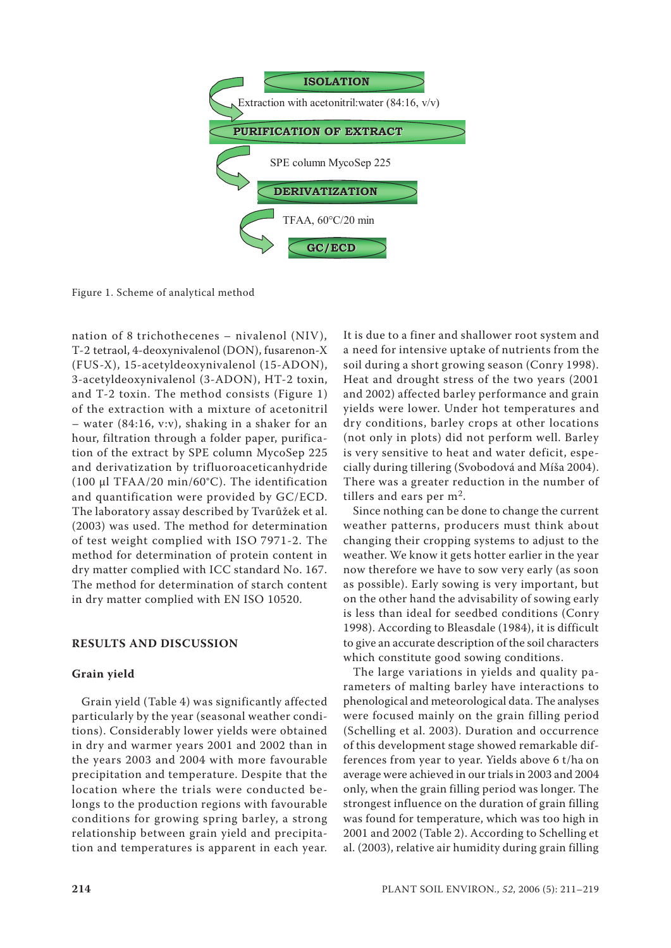

Figure 1. Scheme of analytical method

nation of 8 trichothecenes – nivalenol (NIV), T-2 tetraol, 4-deoxynivalenol (DON), fusarenon-X (FUS-X), 15-acetyldeoxynivalenol (15-ADON), 3-acetyldeoxynivalenol (3-ADON), HT-2 toxin, and T-2 toxin. The method consists (Figure 1) of the extraction with a mixture of acetonitril – water (84:16, v:v), shaking in a shaker for an hour, filtration through a folder paper, purification of the extract by SPE column MycoSep 225 and derivatization by trifluoroaceticanhydride (100 µl TFAA/20 min/60°C). The identification and quantification were provided by GC/ECD. The laboratory assay described by Tvarůžek et al. (2003) was used. The method for determination of test weight complied with ISO 7971-2. The method for determination of protein content in dry matter complied with ICC standard No. 167. The method for determination of starch content in dry matter complied with EN ISO 10520.

#### **RESULTS AND DISCUSSION**

#### **Grain yield**

Grain yield (Table 4) was significantly affected particularly by the year (seasonal weather conditions). Considerably lower yields were obtained in dry and warmer years 2001 and 2002 than in the years 2003 and 2004 with more favourable precipitation and temperature. Despite that the location where the trials were conducted belongs to the production regions with favourable conditions for growing spring barley, a strong relationship between grain yield and precipitation and temperatures is apparent in each year. It is due to a finer and shallower root system and a need for intensive uptake of nutrients from the soil during a short growing season (Conry 1998). Heat and drought stress of the two years (2001 and 2002) affected barley performance and grain yields were lower. Under hot temperatures and dry conditions, barley crops at other locations (not only in plots) did not perform well. Barley is very sensitive to heat and water deficit, especially during tillering (Svobodová and Míša 2004). There was a greater reduction in the number of tillers and ears per m<sup>2</sup>.

Since nothing can be done to change the current weather patterns, producers must think about changing their cropping systems to adjust to the weather. We know it gets hotter earlier in the year now therefore we have to sow very early (as soon as possible). Early sowing is very important, but on the other hand the advisability of sowing early is less than ideal for seedbed conditions (Conry 1998). According to Bleasdale (1984), it is difficult to give an accurate description of the soil characters which constitute good sowing conditions.

The large variations in yields and quality parameters of malting barley have interactions to phenological and meteorological data. The analyses were focused mainly on the grain filling period (Schelling et al. 2003). Duration and occurrence of this development stage showed remarkable differences from year to year. Yields above 6 t/ha on average were achieved in our trials in 2003 and 2004 only, when the grain filling period was longer. The strongest influence on the duration of grain filling was found for temperature, which was too high in 2001 and 2002 (Table 2). According to Schelling et al. (2003), relative air humidity during grain filling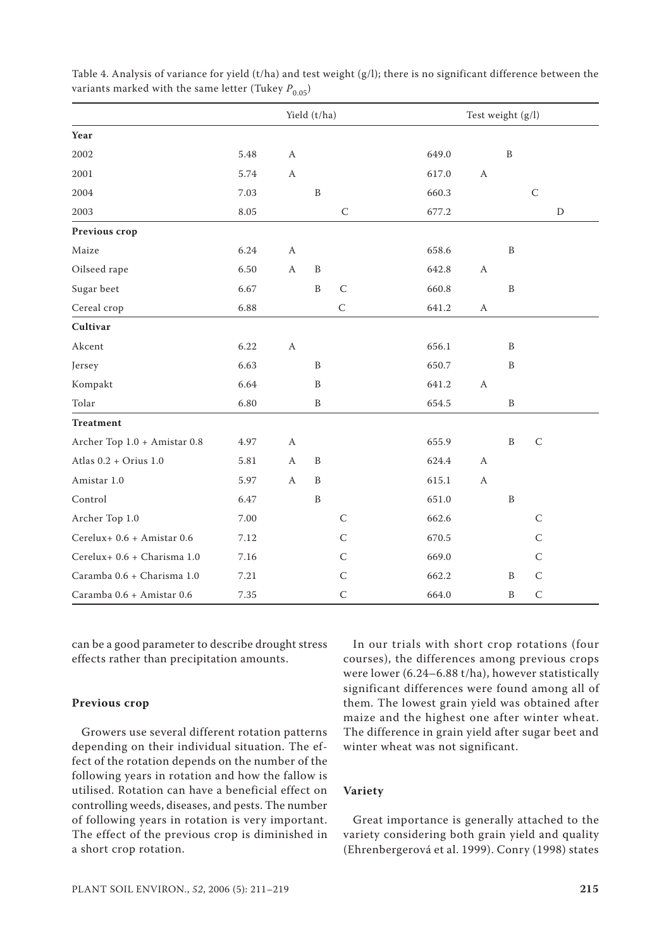|                              |      | Yield (t/ha) |              |               |       | Test weight (g/l)     |              |                  |   |
|------------------------------|------|--------------|--------------|---------------|-------|-----------------------|--------------|------------------|---|
| Year                         |      |              |              |               |       |                       |              |                  |   |
| 2002                         | 5.48 | $\mathbf{A}$ |              |               | 649.0 |                       | $\, {\bf B}$ |                  |   |
| 2001                         | 5.74 | $\mathbf{A}$ |              |               | 617.0 | $\mathbf{A}$          |              |                  |   |
| 2004                         | 7.03 |              | $\, {\bf B}$ |               | 660.3 |                       |              | $\mathsf C$      |   |
| 2003                         | 8.05 |              |              | $\cal C$      | 677.2 |                       |              |                  | D |
| Previous crop                |      |              |              |               |       |                       |              |                  |   |
| Maize                        | 6.24 | $\mathbf{A}$ |              |               | 658.6 |                       | $\, {\bf B}$ |                  |   |
| Oilseed rape                 | 6.50 | $\mathbf{A}$ | B            |               | 642.8 | $\mathbf{A}$          |              |                  |   |
| Sugar beet                   | 6.67 |              | B            | $\cal C$      | 660.8 |                       | $\, {\bf B}$ |                  |   |
| Cereal crop                  | 6.88 |              |              | $\mathsf{C}$  | 641.2 | $\boldsymbol{\rm{A}}$ |              |                  |   |
| Cultivar                     |      |              |              |               |       |                       |              |                  |   |
| Akcent                       | 6.22 | $\mathbf{A}$ |              |               | 656.1 |                       | B            |                  |   |
| Jersey                       | 6.63 |              | B            |               | 650.7 |                       | B            |                  |   |
| Kompakt                      | 6.64 |              | $\, {\bf B}$ |               | 641.2 | A                     |              |                  |   |
| Tolar                        | 6.80 |              | $\, {\bf B}$ |               | 654.5 |                       | $\, {\bf B}$ |                  |   |
| <b>Treatment</b>             |      |              |              |               |       |                       |              |                  |   |
| Archer Top 1.0 + Amistar 0.8 | 4.97 | $\mathbf{A}$ |              |               | 655.9 |                       | $\, {\bf B}$ | $\mathsf{C}$     |   |
| Atlas $0.2 + Orius 1.0$      | 5.81 | $\mathbf{A}$ | B            |               | 624.4 | A                     |              |                  |   |
| Amistar 1.0                  | 5.97 | $\mathbf{A}$ | $\, {\bf B}$ |               | 615.1 | $\boldsymbol{A}$      |              |                  |   |
| Control                      | 6.47 |              | B            |               | 651.0 |                       | $\, {\bf B}$ |                  |   |
| Archer Top 1.0               | 7.00 |              |              | $\cal C$      | 662.6 |                       |              | $\mathsf{C}$     |   |
| Cerelux+ 0.6 + Amistar 0.6   | 7.12 |              |              | $\cal C$      | 670.5 |                       |              | $\cal C$         |   |
| Cerelux+ 0.6 + Charisma 1.0  | 7.16 |              |              | $\mathcal{C}$ | 669.0 |                       |              | $\boldsymbol{C}$ |   |
| Caramba 0.6 + Charisma 1.0   | 7.21 |              |              | $\cal C$      | 662.2 |                       | $\, {\bf B}$ | $\mathsf{C}$     |   |
| Caramba 0.6 + Amistar 0.6    | 7.35 |              |              | $\cal C$      | 664.0 |                       | $\mathbf B$  | $\mathsf{C}$     |   |

Table 4. Analysis of variance for yield (t/ha) and test weight (g/l); there is no significant difference between the variants marked with the same letter (Tukey  $P_{0.05}$ )

can be a good parameter to describe drought stress effects rather than precipitation amounts.

#### **Previous crop**

Growers use several different rotation patterns depending on their individual situation. The effect of the rotation depends on the number of the following years in rotation and how the fallow is utilised. Rotation can have a beneficial effect on controlling weeds, diseases, and pests. The number of following years in rotation is very important. The effect of the previous crop is diminished in a short crop rotation.

In our trials with short crop rotations (four courses), the differences among previous crops were lower (6.24–6.88 t/ha), however statistically significant differences were found among all of them. The lowest grain yield was obtained after maize and the highest one after winter wheat. The difference in grain yield after sugar beet and winter wheat was not significant.

### **Variety**

Great importance is generally attached to the variety considering both grain yield and quality (Ehrenbergerová et al. 1999). Conry (1998) states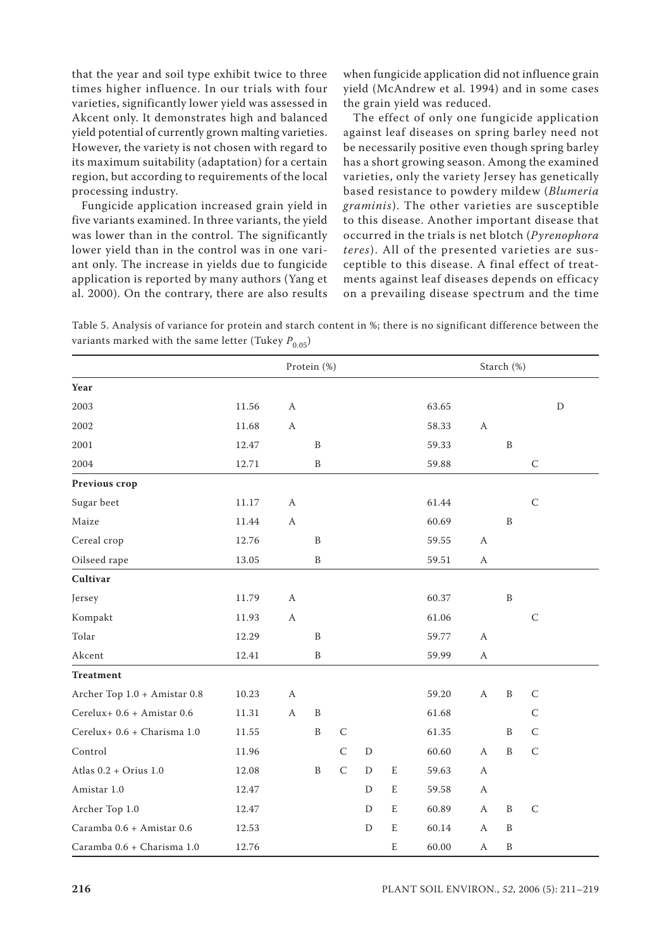that the year and soil type exhibit twice to three times higher influence. In our trials with four varieties, significantly lower yield was assessed in Akcent only. It demonstrates high and balanced yield potential of currently grown malting varieties. However, the variety is not chosen with regard to its maximum suitability (adaptation) for a certain region, but according to requirements of the local processing industry.

Fungicide application increased grain yield in five variants examined. In three variants, the yield was lower than in the control. The significantly lower yield than in the control was in one variant only. The increase in yields due to fungicide application is reported by many authors (Yang et al. 2000). On the contrary, there are also results when fungicide application did not influence grain yield (McAndrew et al. 1994) and in some cases the grain yield was reduced.

The effect of only one fungicide application against leaf diseases on spring barley need not be necessarily positive even though spring barley has a short growing season. Among the examined varieties, only the variety Jersey has genetically based resistance to powdery mildew (*Blumeria graminis*). The other varieties are susceptible to this disease. Another important disease that occurred in the trials is net blotch (*Pyrenophora teres*). All of the presented varieties are susceptible to this disease. A final effect of treatments against leaf diseases depends on efficacy on a prevailing disease spectrum and the time

Table 5. Analysis of variance for protein and starch content in %; there is no significant difference between the variants marked with the same letter (Tukey  $P_{0.05}$ )

|                              |       | Protein (%)  |              |          |                 |             | Starch (%) |              |              |                  |
|------------------------------|-------|--------------|--------------|----------|-----------------|-------------|------------|--------------|--------------|------------------|
| Year                         |       |              |              |          |                 |             |            |              |              |                  |
| 2003                         | 11.56 | $\mathbf{A}$ |              |          |                 |             | 63.65      |              |              | ${\rm D}$        |
| 2002                         | 11.68 | $\mathbf{A}$ |              |          |                 |             | 58.33      | $\mathbf{A}$ |              |                  |
| 2001                         | 12.47 |              | $\, {\bf B}$ |          |                 |             | 59.33      |              | $\, {\bf B}$ |                  |
| 2004                         | 12.71 |              | B            |          |                 |             | 59.88      |              |              | $\cal C$         |
| Previous crop                |       |              |              |          |                 |             |            |              |              |                  |
| Sugar beet                   | 11.17 | A            |              |          |                 |             | 61.44      |              |              | $\mathsf{C}$     |
| Maize                        | 11.44 | $\mathbf{A}$ |              |          |                 |             | 60.69      |              | $\mathbf B$  |                  |
| Cereal crop                  | 12.76 |              | B            |          |                 |             | 59.55      | A            |              |                  |
| Oilseed rape                 | 13.05 |              | $\, {\bf B}$ |          |                 |             | 59.51      | A            |              |                  |
| Cultivar                     |       |              |              |          |                 |             |            |              |              |                  |
| Jersey                       | 11.79 | $\mathbf{A}$ |              |          |                 |             | 60.37      |              | $\, {\bf B}$ |                  |
| Kompakt                      | 11.93 | A            |              |          |                 |             | 61.06      |              |              | $\cal C$         |
| Tolar                        | 12.29 |              | $\, {\bf B}$ |          |                 |             | 59.77      | A            |              |                  |
| Akcent                       | 12.41 |              | B            |          |                 |             | 59.99      | A            |              |                  |
| <b>Treatment</b>             |       |              |              |          |                 |             |            |              |              |                  |
| Archer Top 1.0 + Amistar 0.8 | 10.23 | A            |              |          |                 |             | 59.20      | A            | $\, {\bf B}$ | $\mathsf{C}$     |
| Cerelux+ 0.6 + Amistar 0.6   | 11.31 | A            | B            |          |                 |             | 61.68      |              |              | $\boldsymbol{C}$ |
| Cerelux+ 0.6 + Charisma 1.0  | 11.55 |              | $\, {\bf B}$ | $\cal C$ |                 |             | 61.35      |              | B            | $\mathsf{C}$     |
| Control                      | 11.96 |              |              | $\cal C$ | $\mathbf D$     |             | 60.60      | A            | $\mathbf B$  | $\mathsf{C}$     |
| Atlas $0.2 + Orius 1.0$      | 12.08 |              | $\, {\bf B}$ | $\cal C$ | $\mathbf D$     | $\mathbf E$ | 59.63      | A            |              |                  |
| Amistar 1.0                  | 12.47 |              |              |          | D               | $\mathbf E$ | 59.58      | A            |              |                  |
| Archer Top 1.0               | 12.47 |              |              |          | ${\mathcal{D}}$ | $\mathbf E$ | 60.89      | A            | $\, {\bf B}$ | $\cal C$         |
| Caramba 0.6 + Amistar 0.6    | 12.53 |              |              |          | ${\mathcal{D}}$ | $\mathbf E$ | 60.14      | A            | $\, {\bf B}$ |                  |
| Caramba 0.6 + Charisma 1.0   | 12.76 |              |              |          |                 | $\mathbf E$ | 60.00      | A            | $\, {\bf B}$ |                  |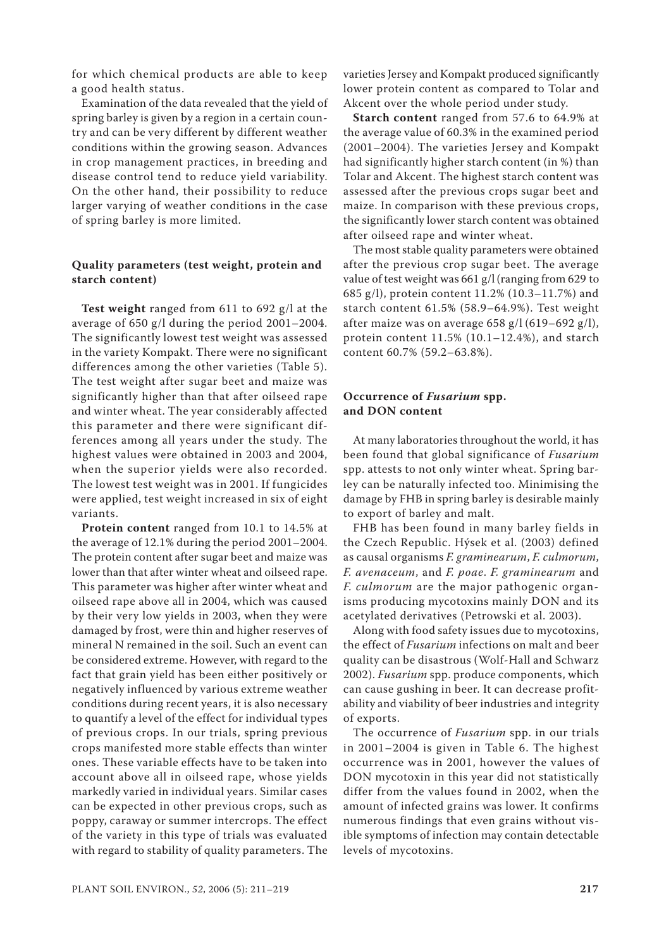for which chemical products are able to keep a good health status.

Examination of the data revealed that the yield of spring barley is given by a region in a certain country and can be very different by different weather conditions within the growing season. Advances in crop management practices, in breeding and disease control tend to reduce yield variability. On the other hand, their possibility to reduce larger varying of weather conditions in the case of spring barley is more limited.

## **Quality parameters (test weight, protein and starch content)**

**Test weight** ranged from 611 to 692 g/l at the average of 650 g/l during the period 2001–2004. The significantly lowest test weight was assessed in the variety Kompakt. There were no significant differences among the other varieties (Table 5). The test weight after sugar beet and maize was significantly higher than that after oilseed rape and winter wheat. The year considerably affected this parameter and there were significant differences among all years under the study. The highest values were obtained in 2003 and 2004, when the superior yields were also recorded. The lowest test weight was in 2001. If fungicides were applied, test weight increased in six of eight variants.

**Protein content** ranged from 10.1 to 14.5% at the average of 12.1% during the period 2001–2004. The protein content after sugar beet and maize was lower than that after winter wheat and oilseed rape. This parameter was higher after winter wheat and oilseed rape above all in 2004, which was caused by their very low yields in 2003, when they were damaged by frost, were thin and higher reserves of mineral N remained in the soil. Such an event can be considered extreme. However, with regard to the fact that grain yield has been either positively or negatively influenced by various extreme weather conditions during recent years, it is also necessary to quantify a level of the effect for individual types of previous crops. In our trials, spring previous crops manifested more stable effects than winter ones. These variable effects have to be taken into account above all in oilseed rape, whose yields markedly varied in individual years. Similar cases can be expected in other previous crops, such as poppy, caraway or summer intercrops. The effect of the variety in this type of trials was evaluated with regard to stability of quality parameters. The

varieties Jersey and Kompakt produced significantly lower protein content as compared to Tolar and Akcent over the whole period under study.

**Starch content** ranged from 57.6 to 64.9% at the average value of 60.3% in the examined period (2001–2004). The varieties Jersey and Kompakt had significantly higher starch content (in %) than Tolar and Akcent. The highest starch content was assessed after the previous crops sugar beet and maize. In comparison with these previous crops, the significantly lower starch content was obtained after oilseed rape and winter wheat.

The most stable quality parameters were obtained after the previous crop sugar beet. The average value of test weight was 661 g/l(ranging from 629 to 685 g/l), protein content 11.2% (10.3–11.7%) and starch content 61.5% (58.9–64.9%). Test weight after maize was on average 658 g/l (619–692 g/l), protein content 11.5% (10.1–12.4%), and starch content 60.7% (59.2–63.8%).

## **Occurrence of** *Fusarium* **spp. and DON content**

At many laboratories throughout the world, it has been found that global significance of *Fusarium* spp. attests to not only winter wheat. Spring barley can be naturally infected too. Minimising the damage by FHB in spring barley is desirable mainly to export of barley and malt.

FHB has been found in many barley fields in the Czech Republic. Hýsek et al. (2003) defined as causal organisms *F. graminearum*, *F. culmorum*, *F. avenaceum*, and *F. poae*. *F. graminearum* and *F. culmorum* are the major pathogenic organisms producing mycotoxins mainly DON and its acetylated derivatives (Petrowski et al. 2003).

Along with food safety issues due to mycotoxins, the effect of *Fusarium* infections on malt and beer quality can be disastrous (Wolf-Hall and Schwarz 2002). *Fusarium* spp. produce components, which can cause gushing in beer. It can decrease profitability and viability of beer industries and integrity of exports.

The occurrence of *Fusarium* spp. in our trials in 2001–2004 is given in Table 6. The highest occurrence was in 2001, however the values of DON mycotoxin in this year did not statistically differ from the values found in 2002, when the amount of infected grains was lower. It confirms numerous findings that even grains without visible symptoms of infection may contain detectable levels of mycotoxins.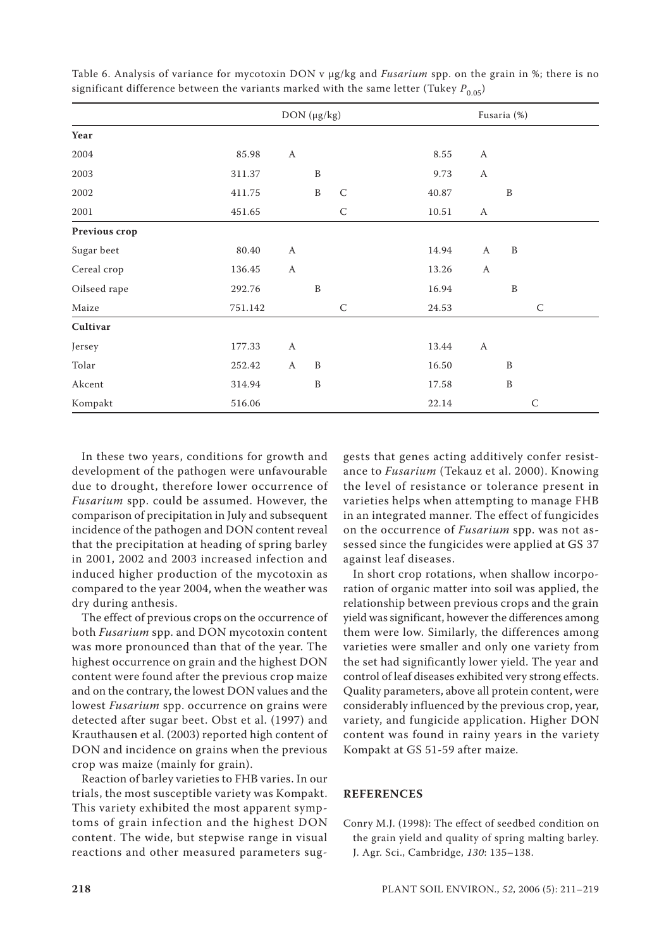|               | DON (µg/kg) |                  |              |          |  |       |              | Fusaria (%)  |          |  |
|---------------|-------------|------------------|--------------|----------|--|-------|--------------|--------------|----------|--|
| Year          |             |                  |              |          |  |       |              |              |          |  |
| 2004          | 85.98       | $\boldsymbol{A}$ |              |          |  | 8.55  | $\mathbf{A}$ |              |          |  |
| 2003          | 311.37      |                  | $\, {\bf B}$ |          |  | 9.73  | $\mathbf{A}$ |              |          |  |
| 2002          | 411.75      |                  | $\, {\bf B}$ | $\cal C$ |  | 40.87 |              | $\, {\bf B}$ |          |  |
| 2001          | 451.65      |                  |              | $\cal C$ |  | 10.51 | A            |              |          |  |
| Previous crop |             |                  |              |          |  |       |              |              |          |  |
| Sugar beet    | 80.40       | A                |              |          |  | 14.94 | A            | $\, {\bf B}$ |          |  |
| Cereal crop   | 136.45      | A                |              |          |  | 13.26 | A            |              |          |  |
| Oilseed rape  | 292.76      |                  | $\, {\bf B}$ |          |  | 16.94 |              | $\, {\bf B}$ |          |  |
| Maize         | 751.142     |                  |              | $\cal C$ |  | 24.53 |              |              | $\cal C$ |  |
| Cultivar      |             |                  |              |          |  |       |              |              |          |  |
| Jersey        | 177.33      | A                |              |          |  | 13.44 | A            |              |          |  |
| Tolar         | 252.42      | $\mathbf{A}$     | B            |          |  | 16.50 |              | $\, {\bf B}$ |          |  |
| Akcent        | 314.94      |                  | $\, {\bf B}$ |          |  | 17.58 |              | $\, {\bf B}$ |          |  |
| Kompakt       | 516.06      |                  |              |          |  | 22.14 |              |              | C        |  |

Table 6. Analysis of variance for mycotoxin DON v µg/kg and *Fusarium* spp. on the grain in %; there is no significant difference between the variants marked with the same letter (Tukey  $P_{0.05}$ )

In these two years, conditions for growth and development of the pathogen were unfavourable due to drought, therefore lower occurrence of *Fusarium* spp. could be assumed. However, the comparison of precipitation in July and subsequent incidence of the pathogen and DON content reveal that the precipitation at heading of spring barley in 2001, 2002 and 2003 increased infection and induced higher production of the mycotoxin as compared to the year 2004, when the weather was dry during anthesis.

The effect of previous crops on the occurrence of both *Fusarium* spp. and DON mycotoxin content was more pronounced than that of the year. The highest occurrence on grain and the highest DON content were found after the previous crop maize and on the contrary, the lowest DON values and the lowest *Fusarium* spp. occurrence on grains were detected after sugar beet. Obst et al. (1997) and Krauthausen et al. (2003) reported high content of DON and incidence on grains when the previous crop was maize (mainly for grain).

Reaction of barley varieties to FHB varies. In our trials, the most susceptible variety was Kompakt. This variety exhibited the most apparent symptoms of grain infection and the highest DON content. The wide, but stepwise range in visual reactions and other measured parameters sug-

gests that genes acting additively confer resistance to *Fusarium* (Tekauz et al. 2000). Knowing the level of resistance or tolerance present in varieties helps when attempting to manage FHB in an integrated manner. The effect of fungicides on the occurrence of *Fusarium* spp. was not assessed since the fungicides were applied at GS 37 against leaf diseases.

In short crop rotations, when shallow incorporation of organic matter into soil was applied, the relationship between previous crops and the grain yield was significant, however the differences among them were low. Similarly, the differences among varieties were smaller and only one variety from the set had significantly lower yield. The year and control of leaf diseases exhibited very strong effects. Quality parameters, above all protein content, were considerably influenced by the previous crop, year, variety, and fungicide application. Higher DON content was found in rainy years in the variety Kompakt at GS 51-59 after maize.

## **REFERENCES**

Conry M.J. (1998): The effect of seedbed condition on the grain yield and quality of spring malting barley. J. Agr. Sci., Cambridge, *130*: 135–138.